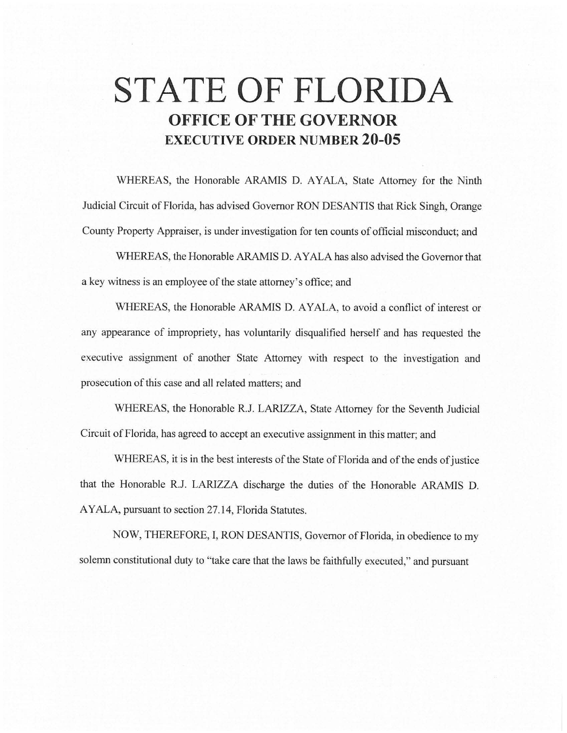# **STATE OF FLORIDA OFFICE OF THE GOVERNOR EXECUTIVE ORDER NUMBER 20-05**

WHEREAS, the Honorable ARAMIS D. AYALA, State Attorney for the Ninth Judicial Circuit of Florida, has advised Governor RON DESANTIS that Rick Singh, Orange County Property Appraiser, is under investigation for ten counts of official misconduct; and

WHEREAS, the Honorable ARAMIS D. AYALA has also advised the Governor that a key witness is an employee of the state attorney's office; and

WHEREAS, the Honorable ARAMIS D. AYALA, to avoid a conflict of interest or any appearance of impropriety, has voluntarily disqualified herself and has requested the executive assignment of another State Attorney with respect to the investigation and prosecution of this case and all related matters; and

WHEREAS, the Honorable R.J. LARIZZA, State Attorney for the Seventh Judicial Circuit of Florida, has agreed to accept an executive assignment in this matter; and

WHEREAS, it is in the best interests of the State of Florida and of the ends of justice that the Honorable R.J. LARIZZA discharge the duties of the Honorable ARAMIS D. AYALA, pursuant to section 27 .14, Florida Statutes.

NOW, THEREFORE, I, RON DESANTIS, Governor of Florida, in obedience to my solemn constitutional duty to "take care that the laws be faithfully executed," and pursuant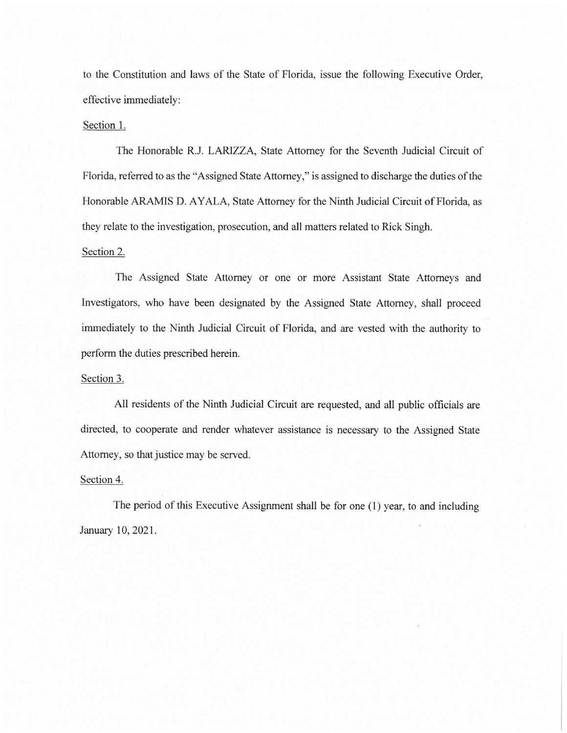to the Constitution and laws of the State of Florida, issue the following Executive Order, effective immediately:

### Section 1.

The Honorable R.J. LARIZZA, State Attorney for the Seventh Judicial Circuit of Florida, referred to as the "Assigned State Attorney," is assigned to discharge the duties of the Honorable ARAMIS D. AYALA, State Attorney for the Ninth Judicial Circuit of Florida, as they relate to the investigation, prosecution, and all matters related to Rick Singh.

#### Section 2.

The Assigned State Attorney or one or more Assistant State Attorneys and Investigators, who have been designated by the Assigned State Attorney, shall proceed immediately to the Ninth Judicial Circuit of Florida, and are vested with the authority to perform the duties prescribed herein.

## Section 3.

All residents of the Ninth Judicial Circuit are requested, and all public officials are directed, to cooperate and render whatever assistance is necessary to the Assigned State Attorney, so that justice may be served.

#### Section 4.

The period of this Executive Assignment shall be for one (1) year, to and including January 10, 2021.